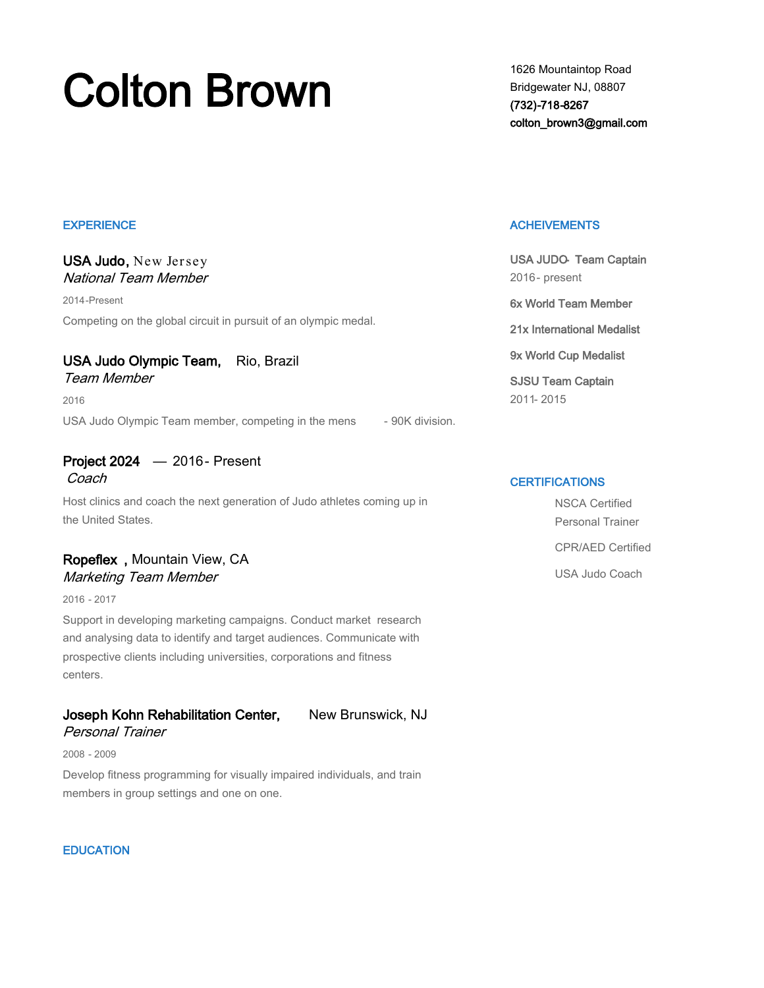# Colton Brown Brown Brown Bridgewater NJ, 08807

Bridgewater NJ, 08807 (732)-718-8267 colton\_brown3@gmail.com

#### **EXPERIENCE**

## USA Judo, New Jersey National Team Member

2014-Present

Competing on the global circuit in pursuit of an olympic medal.

## USA Judo Olympic Team, Rio, Brazil

Team Member

2016

USA Judo Olympic Team member, competing in the mens - 90K division.

# Project 2024 — 2016 - Present

Coach

Host clinics and coach the next generation of Judo athletes coming up in the United States.

## Ropeflex , Mountain View, CA Marketing Team Member

2016 - 2017

Support in developing marketing campaigns. Conduct market research and analysing data to identify and target audiences. Communicate with prospective clients including universities, corporations and fitness centers.

## Joseph Kohn Rehabilitation Center, New Brunswick, NJ

## Personal Trainer

2008 - 2009

Develop fitness programming for visually impaired individuals, and train members in group settings and one on one.

#### **EDUCATION**

### **ACHEIVEMENTS**

USA JUDO- Team Captain 2016- present 6x World Team Member 21x International Medalist 9x World Cup Medalist SJSU Team Captain 2011- 2015

## **CERTIFICATIONS**

NSCA Certified Personal Trainer CPR/AED Certified USA Judo Coach